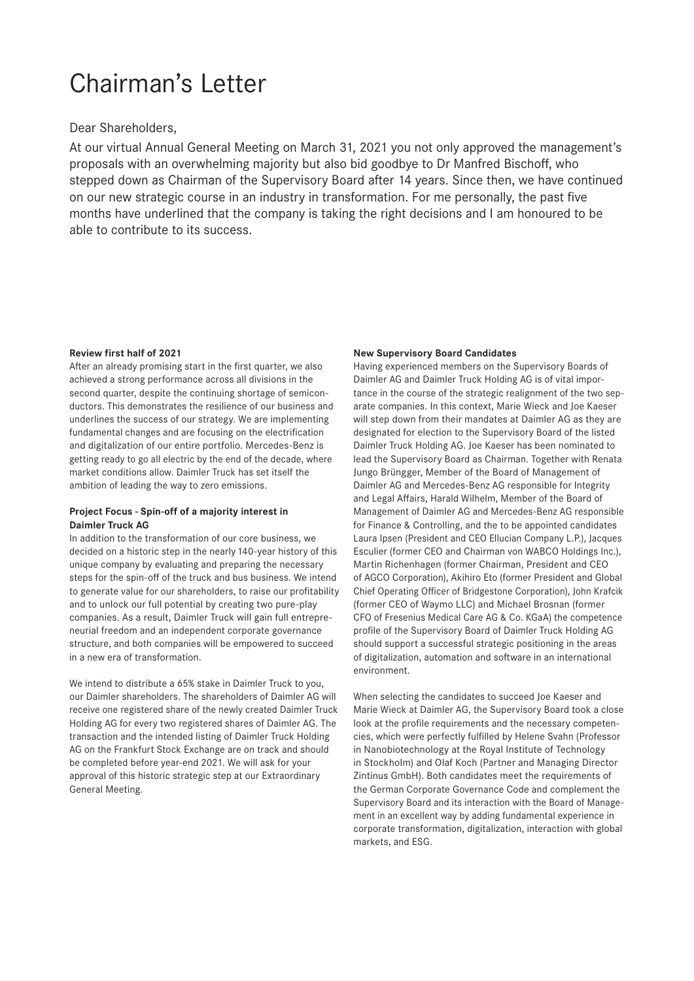# Chairman's Letter

Dear Shareholders,

At our virtual Annual General Meeting on March 31, 2021 you not only approved the management's proposals with an overwhelming majority but also bid goodbye to Dr Manfred Bischoff, who stepped down as Chairman of the Supervisory Board after 14 years. Since then, we have continued on our new strategic course in an industry in transformation. For me personally, the past five months have underlined that the company is taking the right decisions and I am honoured to be able to contribute to its success.

#### **Review first half of 2021**

After an already promising start in the first quarter, we also achieved a strong performance across all divisions in the second quarter, despite the continuing shortage of semiconductors. This demonstrates the resilience of our business and underlines the success of our strategy. We are implementing fundamental changes and are focusing on the electrification and digitalization of our entire portfolio. Mercedes-Benz is getting ready to go all electric by the end of the decade, where market conditions allow. Daimler Truck has set itself the ambition of leading the way to zero emissions.

### **Project Focus - Spin-off of a majority interest in Daimler Truck AG**

In addition to the transformation of our core business, we decided on a historic step in the nearly 140-year history of this unique company by evaluating and preparing the necessary steps for the spin-off of the truck and bus business. We intend to generate value for our shareholders, to raise our profitability and to unlock our full potential by creating two pure-play companies. As a result, Daimler Truck will gain full entrepreneurial freedom and an independent corporate governance structure, and both companies will be empowered to succeed in a new era of transformation.

We intend to distribute a 65% stake in Daimler Truck to you, our Daimler shareholders. The shareholders of Daimler AG will receive one registered share of the newly created Daimler Truck Holding AG for every two registered shares of Daimler AG. The transaction and the intended listing of Daimler Truck Holding AG on the Frankfurt Stock Exchange are on track and should be completed before year-end 2021. We will ask for your approval of this historic strategic step at our Extraordinary General Meeting.

#### **New Supervisory Board Candidates**

Having experienced members on the Supervisory Boards of Daimler AG and Daimler Truck Holding AG is of vital importance in the course of the strategic realignment of the two separate companies. In this context, Marie Wieck and Joe Kaeser will step down from their mandates at Daimler AG as they are designated for election to the Supervisory Board of the listed Daimler Truck Holding AG. Joe Kaeser has been nominated to lead the Supervisory Board as Chairman. Together with Renata Jungo Brüngger, Member of the Board of Management of Daimler AG and Mercedes-Benz AG responsible for Integrity and Legal Affairs, Harald Wilhelm, Member of the Board of Management of Daimler AG and Mercedes-Benz AG responsible for Finance & Controlling, and the to be appointed candidates Laura Ipsen (President and CEO Ellucian Company L.P.), Jacques Esculier (former CEO and Chairman von WABCO Holdings Inc.), Martin Richenhagen (former Chairman, President and CEO of AGCO Corporation), Akihiro Eto (former President and Global Chief Operating Officer of Bridgestone Corporation), John Krafcik (former CEO of Waymo LLC) and Michael Brosnan (former CFO of Fresenius Medical Care AG & Co. KGaA) the competence profile of the Supervisory Board of Daimler Truck Holding AG should support a successful strategic positioning in the areas of digitalization, automation and software in an international environment.

When selecting the candidates to succeed Joe Kaeser and Marie Wieck at Daimler AG, the Supervisory Board took a close look at the profile requirements and the necessary competencies, which were perfectly fulfilled by Helene Svahn (Professor in Nanobiotechnology at the Royal Institute of Technology in Stockholm) and Olaf Koch (Partner and Managing Director Zintinus GmbH). Both candidates meet the requirements of the German Corporate Governance Code and complement the Supervisory Board and its interaction with the Board of Management in an excellent way by adding fundamental experience in corporate transformation, digitalization, interaction with global markets, and ESG.